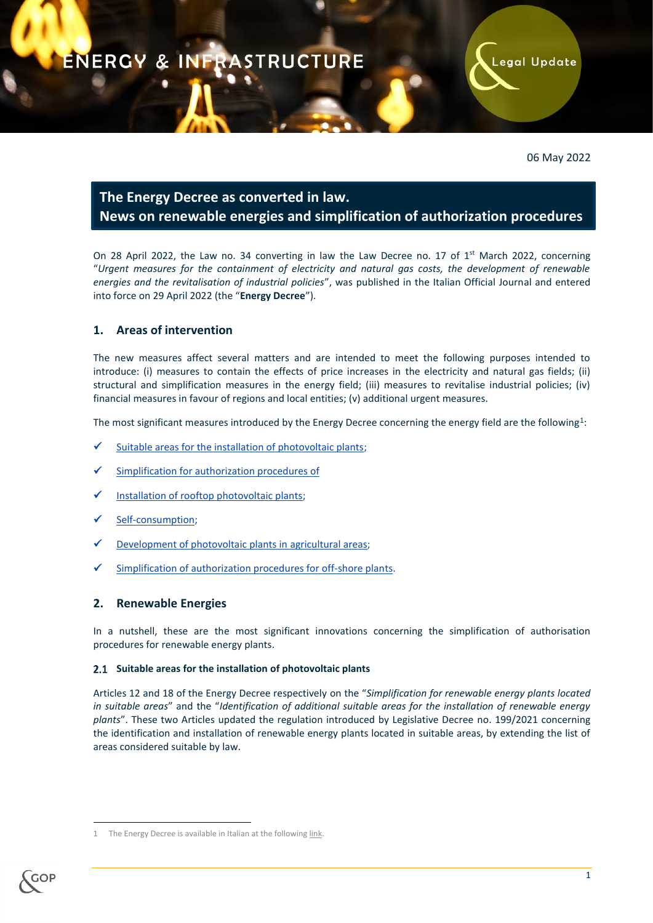# ENERGY & INFRASTRUCTURE

# 06 May 2022

Legal Update

# **The Energy Decree as converted in law. News on renewable energies and simplification of authorization procedures**

On 28 April 2022, the Law no. 34 converting in law the Law Decree no. 17 of  $1<sup>st</sup>$  March 2022, concerning "*Urgent measures for the containment of electricity and natural gas costs, the development of renewable energies and the revitalisation of industrial policies*", was published in the Italian Official Journal and entered into force on 29 April 2022 (the "**Energy Decree**").

# **1. Areas of intervention**

The new measures affect several matters and are intended to meet the following purposes intended to introduce: (i) measures to contain the effects of price increases in the electricity and natural gas fields; (ii) structural and simplification measures in the energy field; (iii) measures to revitalise industrial policies; (iv) financial measures in favour of regions and local entities; (v) additional urgent measures.

The most significant measures introduced by the Energy Decree concerning the energy field are the following<sup>1</sup>:

- [Suitable areas for the installation of photovoltaic plants;](#page-0-0)
- [Simplification for authorization procedures of](#page-2-0)
- [Installation of rooftop photovoltaic plants;](#page-3-0)
- [Self-consumption;](#page-3-1)
- [Development of photovoltaic plants in agricultural areas;](#page-4-0)
- [Simplification of authorization procedures for off-shore plants.](#page-4-1)

# **2. Renewable Energies**

In a nutshell, these are the most significant innovations concerning the simplification of authorisation procedures for renewable energy plants.

#### <span id="page-0-0"></span>**Suitable areas for the installation of photovoltaic plants**

Articles 12 and 18 of the Energy Decree respectively on the "*Simplification for renewable energy plants located in suitable areas*" and the "*Identification of additional suitable areas for the installation of renewable energy plants*". These two Articles updated the regulation introduced by Legislative Decree no. 199/2021 concerning the identification and installation of renewable energy plants located in suitable areas, by extending the list of areas considered suitable by law.

**.** 

The Energy Decree is available in Italian at the followin[g link.](https://www.gazzettaufficiale.it/atto/serie_generale/caricaDettaglioAtto/originario?atto.dataPubblicazioneGazzetta=2022-04-28&atto.codiceRedazionale=22A02680&elenco30giorni=true)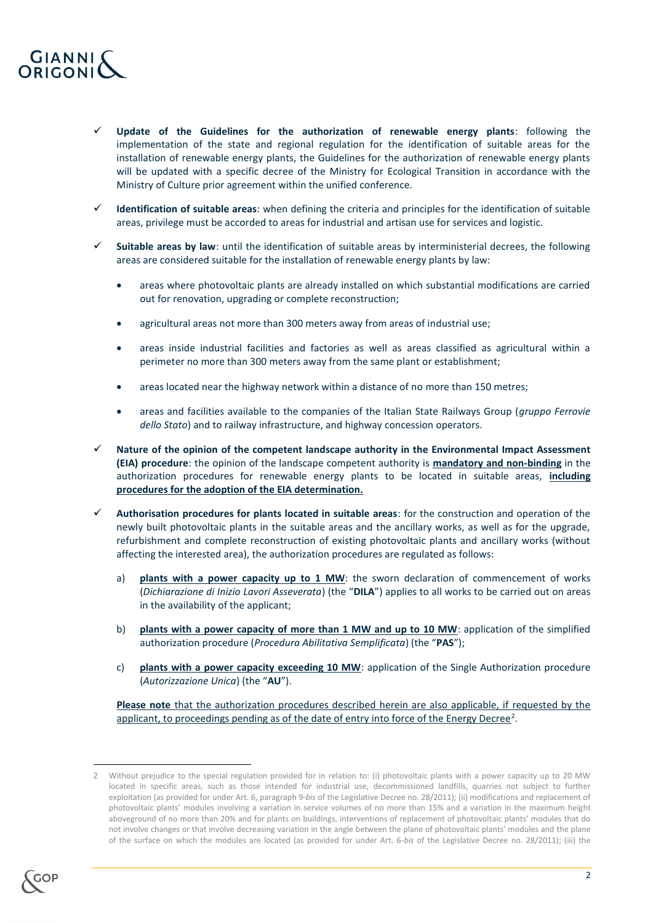

- **Update of the Guidelines for the authorization of renewable energy plants**: following the implementation of the state and regional regulation for the identification of suitable areas for the installation of renewable energy plants, the Guidelines for the authorization of renewable energy plants will be updated with a specific decree of the Ministry for Ecological Transition in accordance with the Ministry of Culture prior agreement within the unified conference.
- **Identification of suitable areas**: when defining the criteria and principles for the identification of suitable areas, privilege must be accorded to areas for industrial and artisan use for services and logistic.
- **Suitable areas by law**: until the identification of suitable areas by interministerial decrees, the following areas are considered suitable for the installation of renewable energy plants by law:
	- areas where photovoltaic plants are already installed on which substantial modifications are carried out for renovation, upgrading or complete reconstruction;
	- agricultural areas not more than 300 meters away from areas of industrial use;
	- areas inside industrial facilities and factories as well as areas classified as agricultural within a perimeter no more than 300 meters away from the same plant or establishment;
	- areas located near the highway network within a distance of no more than 150 metres;
	- areas and facilities available to the companies of the Italian State Railways Group (*gruppo Ferrovie dello Stato*) and to railway infrastructure, and highway concession operators.
- **Nature of the opinion of the competent landscape authority in the Environmental Impact Assessment (EIA) procedure**: the opinion of the landscape competent authority is **mandatory and non-binding** in the authorization procedures for renewable energy plants to be located in suitable areas, **including procedures for the adoption of the EIA determination.**
- **Authorisation procedures for plants located in suitable areas**: for the construction and operation of the newly built photovoltaic plants in the suitable areas and the ancillary works, as well as for the upgrade, refurbishment and complete reconstruction of existing photovoltaic plants and ancillary works (without affecting the interested area), the authorization procedures are regulated as follows:
	- a) **plants with a power capacity up to 1 MW**: the sworn declaration of commencement of works (*Dichiarazione di Inizio Lavori Asseverata*) (the "**DILA**") applies to all works to be carried out on areas in the availability of the applicant;
	- b) **plants with a power capacity of more than 1 MW and up to 10 MW**: application of the simplified authorization procedure (*Procedura Abilitativa Semplificata*) (the "**PAS**");
	- c) **plants with a power capacity exceeding 10 MW**: application of the Single Authorization procedure (*Autorizzazione Unica*) (the "**AU**").

**Please note** that the authorization procedures described herein are also applicable, if requested by the applicant, to proceedings pending as of the date of entry into force of the Energy Decree<sup>2</sup>.

**.** 

<sup>2</sup> Without prejudice to the special regulation provided for in relation to: (i) photovoltaic plants with a power capacity up to 20 MW located in specific areas, such as those intended for industrial use, decommissioned landfills, quarries not subject to further exploitation (as provided for under Art. 6, paragraph 9-*bis* of the Legislative Decree no. 28/2011); (ii) modifications and replacement of photovoltaic plants' modules involving a variation in service volumes of no more than 15% and a variation in the maximum height aboveground of no more than 20% and for plants on buildings, interventions of replacement of photovoltaic plants' modules that do not involve changes or that involve decreasing variation in the angle between the plane of photovoltaic plants' modules and the plane of the surface on which the modules are located (as provided for under Art. 6-*bis* of the Legislative Decree no. 28/2011); (iii) the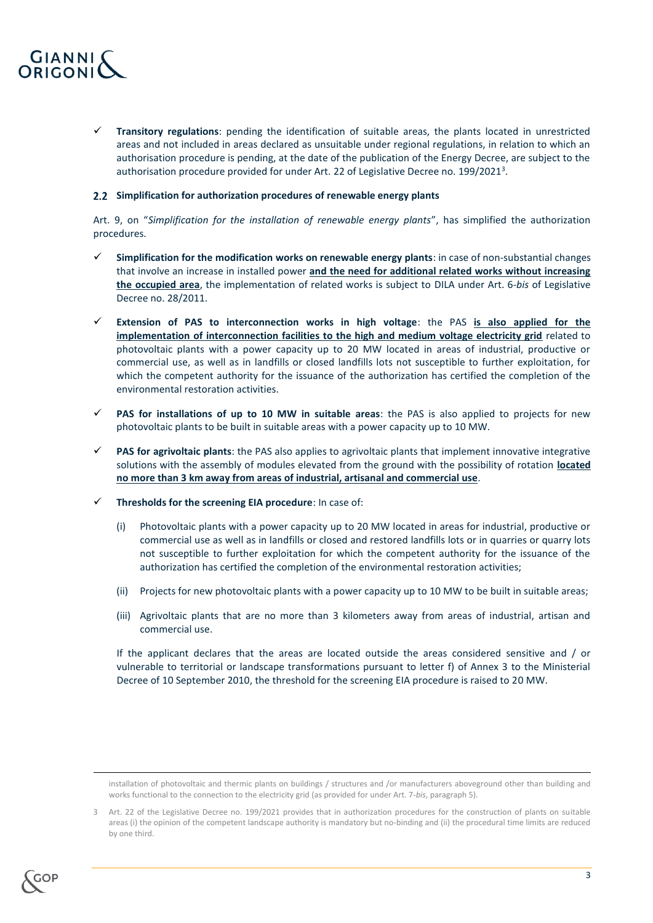

 **Transitory regulations**: pending the identification of suitable areas, the plants located in unrestricted areas and not included in areas declared as unsuitable under regional regulations, in relation to which an authorisation procedure is pending, at the date of the publication of the Energy Decree, are subject to the authorisation procedure provided for under Art. 22 of Legislative Decree no. 199/2021<sup>3</sup>.

#### <span id="page-2-0"></span>**Simplification for authorization procedures of renewable energy plants**

Art. 9, on "*Simplification for the installation of renewable energy plants*", has simplified the authorization procedures.

- **Simplification for the modification works on renewable energy plants**: in case of non-substantial changes that involve an increase in installed power **and the need for additional related works without increasing the occupied area**, the implementation of related works is subject to DILA under Art. 6-*bis* of Legislative Decree no. 28/2011.
- **Extension of PAS to interconnection works in high voltage**: the PAS **is also applied for the implementation of interconnection facilities to the high and medium voltage electricity grid** related to photovoltaic plants with a power capacity up to 20 MW located in areas of industrial, productive or commercial use, as well as in landfills or closed landfills lots not susceptible to further exploitation, for which the competent authority for the issuance of the authorization has certified the completion of the environmental restoration activities.
- **PAS for installations of up to 10 MW in suitable areas**: the PAS is also applied to projects for new photovoltaic plants to be built in suitable areas with a power capacity up to 10 MW.
- **PAS for agrivoltaic plants**: the PAS also applies to agrivoltaic plants that implement innovative integrative solutions with the assembly of modules elevated from the ground with the possibility of rotation **located no more than 3 km away from areas of industrial, artisanal and commercial use**.
- **Thresholds for the screening EIA procedure**: In case of:
	- (i) Photovoltaic plants with a power capacity up to 20 MW located in areas for industrial, productive or commercial use as well as in landfills or closed and restored landfills lots or in quarries or quarry lots not susceptible to further exploitation for which the competent authority for the issuance of the authorization has certified the completion of the environmental restoration activities;
	- (ii) Projects for new photovoltaic plants with a power capacity up to 10 MW to be built in suitable areas;
	- (iii) Agrivoltaic plants that are no more than 3 kilometers away from areas of industrial, artisan and commercial use.

If the applicant declares that the areas are located outside the areas considered sensitive and / or vulnerable to territorial or landscape transformations pursuant to letter f) of Annex 3 to the Ministerial Decree of 10 September 2010, the threshold for the screening EIA procedure is raised to 20 MW.

<sup>3</sup> Art. 22 of the Legislative Decree no. 199/2021 provides that in authorization procedures for the construction of plants on suitable areas (i) the opinion of the competent landscape authority is mandatory but no-binding and (ii) the procedural time limits are reduced by one third.



1

installation of photovoltaic and thermic plants on buildings / structures and /or manufacturers aboveground other than building and works functional to the connection to the electricity grid (as provided for under Art. 7-*bis*, paragraph 5).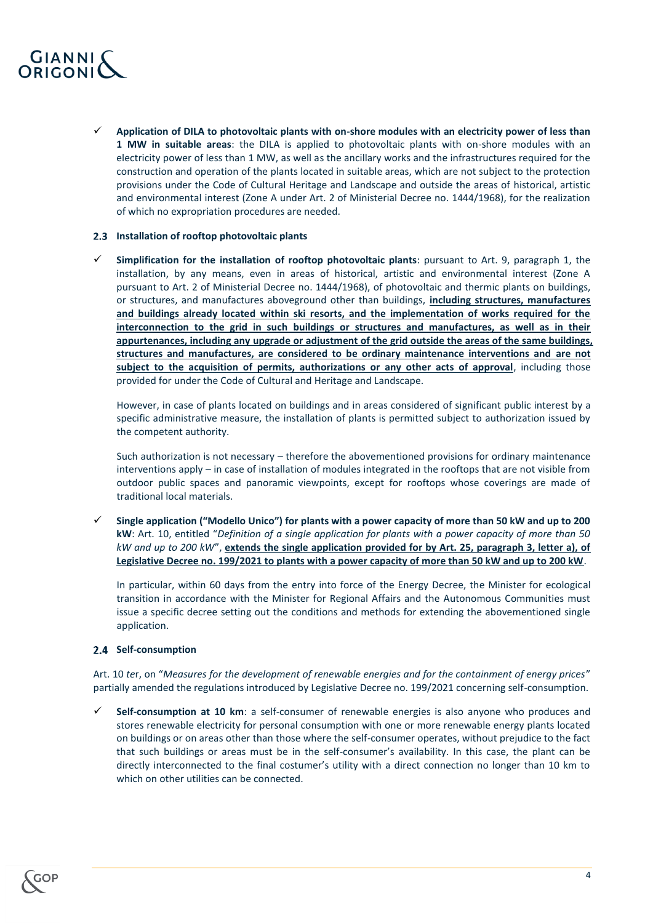

 **Application of DILA to photovoltaic plants with on-shore modules with an electricity power of less than 1 MW in suitable areas**: the DILA is applied to photovoltaic plants with on-shore modules with an electricity power of less than 1 MW, as well as the ancillary works and the infrastructures required for the construction and operation of the plants located in suitable areas, which are not subject to the protection provisions under the Code of Cultural Heritage and Landscape and outside the areas of historical, artistic and environmental interest (Zone A under Art. 2 of Ministerial Decree no. 1444/1968), for the realization of which no expropriation procedures are needed.

#### <span id="page-3-0"></span>**Installation of rooftop photovoltaic plants**

 **Simplification for the installation of rooftop photovoltaic plants**: pursuant to Art. 9, paragraph 1, the installation, by any means, even in areas of historical, artistic and environmental interest (Zone A pursuant to Art. 2 of Ministerial Decree no. 1444/1968), of photovoltaic and thermic plants on buildings, or structures, and manufactures aboveground other than buildings, **including structures, manufactures and buildings already located within ski resorts, and the implementation of works required for the interconnection to the grid in such buildings or structures and manufactures, as well as in their appurtenances, including any upgrade or adjustment of the grid outside the areas of the same buildings, structures and manufactures, are considered to be ordinary maintenance interventions and are not subject to the acquisition of permits, authorizations or any other acts of approval**, including those provided for under the Code of Cultural and Heritage and Landscape.

However, in case of plants located on buildings and in areas considered of significant public interest by a specific administrative measure, the installation of plants is permitted subject to authorization issued by the competent authority.

Such authorization is not necessary – therefore the abovementioned provisions for ordinary maintenance interventions apply – in case of installation of modules integrated in the rooftops that are not visible from outdoor public spaces and panoramic viewpoints, except for rooftops whose coverings are made of traditional local materials.

 **Single application ("Modello Unico") for plants with a power capacity of more than 50 kW and up to 200 kW**: Art. 10, entitled "*Definition of a single application for plants with a power capacity of more than 50 kW and up to 200 kW*", **extends the single application provided for by Art. 25, paragraph 3, letter a), of Legislative Decree no. 199/2021 to plants with a power capacity of more than 50 kW and up to 200 kW**.

In particular, within 60 days from the entry into force of the Energy Decree, the Minister for ecological transition in accordance with the Minister for Regional Affairs and the Autonomous Communities must issue a specific decree setting out the conditions and methods for extending the abovementioned single application.

# <span id="page-3-1"></span>2.4 Self-consumption

Art. 10 *te*r, on "*Measures for the development of renewable energies and for the containment of energy prices*" partially amended the regulations introduced by Legislative Decree no. 199/2021 concerning self-consumption.

 **Self-consumption at 10 km**: a self-consumer of renewable energies is also anyone who produces and stores renewable electricity for personal consumption with one or more renewable energy plants located on buildings or on areas other than those where the self-consumer operates, without prejudice to the fact that such buildings or areas must be in the self-consumer's availability. In this case, the plant can be directly interconnected to the final costumer's utility with a direct connection no longer than 10 km to which on other utilities can be connected.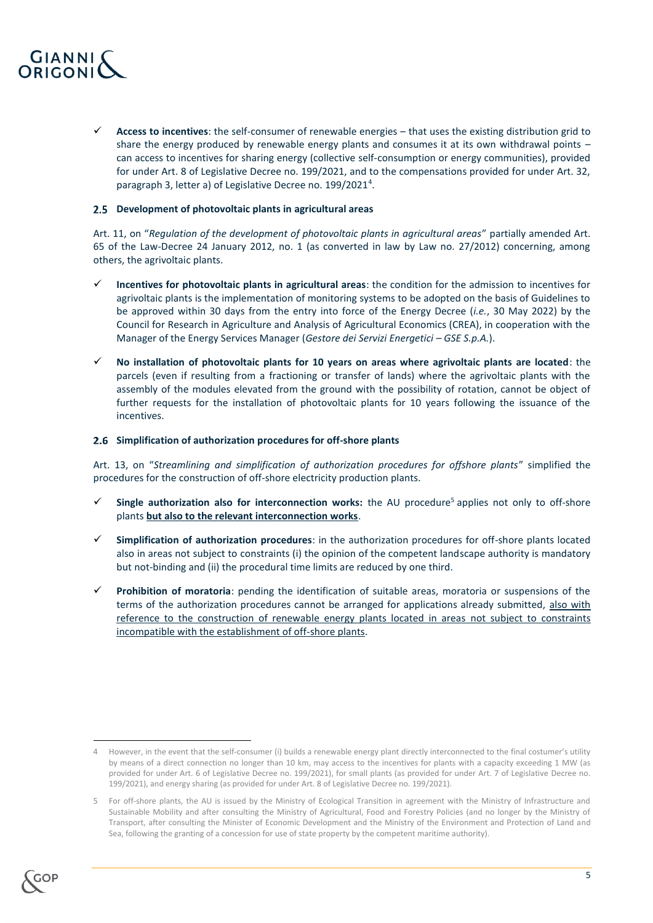

 **Access to incentives**: the self-consumer of renewable energies – that uses the existing distribution grid to share the energy produced by renewable energy plants and consumes it at its own withdrawal points – can access to incentives for sharing energy (collective self-consumption or energy communities), provided for under Art. 8 of Legislative Decree no. 199/2021, and to the compensations provided for under Art. 32, paragraph 3, letter a) of Legislative Decree no. 199/2021<sup>4</sup>.

# <span id="page-4-0"></span>**Development of photovoltaic plants in agricultural areas**

Art. 11, on "*Regulation of the development of photovoltaic plants in agricultural areas*" partially amended Art. 65 of the Law-Decree 24 January 2012, no. 1 (as converted in law by Law no. 27/2012) concerning, among others, the agrivoltaic plants.

- **Incentives for photovoltaic plants in agricultural areas**: the condition for the admission to incentives for agrivoltaic plants is the implementation of monitoring systems to be adopted on the basis of Guidelines to be approved within 30 days from the entry into force of the Energy Decree (*i.e.*, 30 May 2022) by the Council for Research in Agriculture and Analysis of Agricultural Economics (CREA), in cooperation with the Manager of the Energy Services Manager (*Gestore dei Servizi Energetici – GSE S.p.A.*).
- **No installation of photovoltaic plants for 10 years on areas where agrivoltaic plants are located**: the parcels (even if resulting from a fractioning or transfer of lands) where the agrivoltaic plants with the assembly of the modules elevated from the ground with the possibility of rotation, cannot be object of further requests for the installation of photovoltaic plants for 10 years following the issuance of the incentives.

#### <span id="page-4-1"></span>**Simplification of authorization procedures for off-shore plants**

Art. 13, on "*Streamlining and simplification of authorization procedures for offshore plants*" simplified the procedures for the construction of off-shore electricity production plants.

- Single authorization also for interconnection works: the AU procedure<sup>5</sup> applies not only to off-shore plants **but also to the relevant interconnection works**.
- **Simplification of authorization procedures**: in the authorization procedures for off-shore plants located also in areas not subject to constraints (i) the opinion of the competent landscape authority is mandatory but not-binding and (ii) the procedural time limits are reduced by one third.
- **Prohibition of moratoria**: pending the identification of suitable areas, moratoria or suspensions of the terms of the authorization procedures cannot be arranged for applications already submitted, also with reference to the construction of renewable energy plants located in areas not subject to constraints incompatible with the establishment of off-shore plants.

<sup>5</sup> For off-shore plants, the AU is issued by the Ministry of Ecological Transition in agreement with the Ministry of Infrastructure and Sustainable Mobility and after consulting the Ministry of Agricultural, Food and Forestry Policies (and no longer by the Ministry of Transport, after consulting the Minister of Economic Development and the Ministry of the Environment and Protection of Land and Sea, following the granting of a concession for use of state property by the competent maritime authority).



1

<sup>4</sup> However, in the event that the self-consumer (i) builds a renewable energy plant directly interconnected to the final costumer's utility by means of a direct connection no longer than 10 km, may access to the incentives for plants with a capacity exceeding 1 MW (as provided for under Art. 6 of Legislative Decree no. 199/2021), for small plants (as provided for under Art. 7 of Legislative Decree no. 199/2021), and energy sharing (as provided for under Art. 8 of Legislative Decree no. 199/2021).